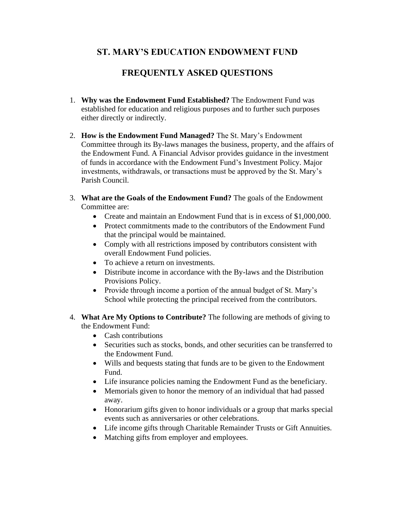## **ST. MARY'S EDUCATION ENDOWMENT FUND**

## **FREQUENTLY ASKED QUESTIONS**

- 1. **Why was the Endowment Fund Established?** The Endowment Fund was established for education and religious purposes and to further such purposes either directly or indirectly.
- 2. **How is the Endowment Fund Managed?** The St. Mary's Endowment Committee through its By-laws manages the business, property, and the affairs of the Endowment Fund. A Financial Advisor provides guidance in the investment of funds in accordance with the Endowment Fund's Investment Policy. Major investments, withdrawals, or transactions must be approved by the St. Mary's Parish Council.
- 3. **What are the Goals of the Endowment Fund?** The goals of the Endowment Committee are:
	- Create and maintain an Endowment Fund that is in excess of \$1,000,000.
	- Protect commitments made to the contributors of the Endowment Fund that the principal would be maintained.
	- Comply with all restrictions imposed by contributors consistent with overall Endowment Fund policies.
	- To achieve a return on investments.
	- Distribute income in accordance with the By-laws and the Distribution Provisions Policy.
	- Provide through income a portion of the annual budget of St. Mary's School while protecting the principal received from the contributors.
- 4. **What Are My Options to Contribute?** The following are methods of giving to the Endowment Fund:
	- Cash contributions
	- Securities such as stocks, bonds, and other securities can be transferred to the Endowment Fund.
	- Wills and bequests stating that funds are to be given to the Endowment Fund.
	- Life insurance policies naming the Endowment Fund as the beneficiary.
	- Memorials given to honor the memory of an individual that had passed away.
	- Honorarium gifts given to honor individuals or a group that marks special events such as anniversaries or other celebrations.
	- Life income gifts through Charitable Remainder Trusts or Gift Annuities.
	- Matching gifts from employer and employees.